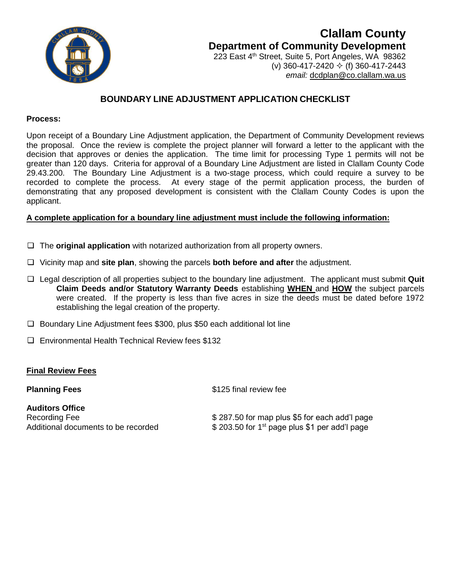

# **Clallam County Department of Community Development**

223 East 4<sup>th</sup> Street, Suite 5, Port Angeles, WA 98362 (v) 360-417-2420  $\div$  (f) 360-417-2443 *email:* [dcdplan@co.clallam.wa.us](mailto:cmckeown@co.clallam.wa.us)

## **BOUNDARY LINE ADJUSTMENT APPLICATION CHECKLIST**

#### **Process:**

Upon receipt of a Boundary Line Adjustment application, the Department of Community Development reviews the proposal. Once the review is complete the project planner will forward a letter to the applicant with the decision that approves or denies the application. The time limit for processing Type 1 permits will not be greater than 120 days. Criteria for approval of a Boundary Line Adjustment are listed in Clallam County Code 29.43.200. The Boundary Line Adjustment is a two-stage process, which could require a survey to be recorded to complete the process. At every stage of the permit application process, the burden of demonstrating that any proposed development is consistent with the Clallam County Codes is upon the applicant.

### **A complete application for a boundary line adjustment must include the following information:**

- The **original application** with notarized authorization from all property owners.
- Vicinity map and **site plan**, showing the parcels **both before and after** the adjustment.
- Legal description of all properties subject to the boundary line adjustment. The applicant must submit **Quit Claim Deeds and/or Statutory Warranty Deeds** establishing **WHEN** and **HOW** the subject parcels were created. If the property is less than five acres in size the deeds must be dated before 1972 establishing the legal creation of the property.
- $\Box$  Boundary Line Adjustment fees \$300, plus \$50 each additional lot line
- $\Box$  Environmental Health Technical Review fees \$132

## **Final Review Fees**

**Auditors Office** 

**Planning Fees** \$125 final review fee

Recording Fee  $$ 287.50$  for map plus \$5 for each add'l page Additional documents to be recorded  $$ 203.50$  for 1<sup>st</sup> page plus \$1 per add'l page